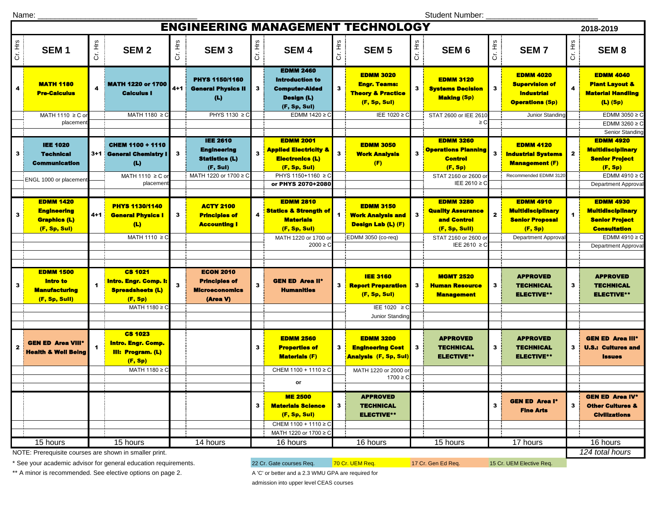Name: \_\_\_\_\_\_\_\_\_\_\_\_\_\_\_\_\_\_\_\_\_\_\_\_\_\_\_\_\_\_\_\_\_\_\_\_\_

Student Number: \_\_\_\_\_\_\_\_\_\_\_\_\_\_\_\_\_\_\_\_\_\_\_\_\_\_

| <b>ENGINEERING MANAGEMENT TECHNOLOGY</b><br>2018-2019                          |                                                                                       |                    |                                                                                                     |         |                                                                                                     |         |                                                                                                                                           |         |                                                                                                         |                   |                                                                                                                    |              |                                                                                                             |                             |                                                                                                                                                  |
|--------------------------------------------------------------------------------|---------------------------------------------------------------------------------------|--------------------|-----------------------------------------------------------------------------------------------------|---------|-----------------------------------------------------------------------------------------------------|---------|-------------------------------------------------------------------------------------------------------------------------------------------|---------|---------------------------------------------------------------------------------------------------------|-------------------|--------------------------------------------------------------------------------------------------------------------|--------------|-------------------------------------------------------------------------------------------------------------|-----------------------------|--------------------------------------------------------------------------------------------------------------------------------------------------|
| Cr. Hrs                                                                        | SEM <sub>1</sub>                                                                      | Cr. Hrs            | SEM <sub>2</sub>                                                                                    | Cr. Hrs | SEM <sub>3</sub>                                                                                    | Cr. Hrs | SEM <sub>4</sub>                                                                                                                          | Cr. Hrs | <b>SEM 5</b>                                                                                            | <sub>도</sub><br>こ | SEM <sub>6</sub>                                                                                                   | Cr. Hrs      | <b>SEM7</b>                                                                                                 | Cr. Hrs                     | SEM <sub>8</sub>                                                                                                                                 |
| 4                                                                              | <b>MATH 1180</b><br><b>Pre-Calculus</b><br>MATH 1110 ≥ C or<br>placement              | 4                  | <b>MATH 1220 or 1700</b><br>Calculus I<br>MATH 1180 ≥ C                                             | $4 + 1$ | <b>PHYS 1150/1160</b><br><b>General Physics II</b><br>(L)<br>PHYS 1130 ≥ 0                          | 3       | <b>EDMM 2460</b><br><b>Introduction to</b><br><b>Computer-Aided</b><br>Design (L)<br>(F, Sp, Sul)<br>EDMM 1420 ≥                          | 3       | <b>EDMM 3020</b><br><b>Engr. Teams:</b><br><b>Theory &amp; Practice</b><br>(F, Sp, Sul)<br>IEE 1020 ≥ 0 | 3 i               | <b>EDMM 3120</b><br><b>Systems Decision</b><br><b>Making (Sp)</b><br>STAT 2600 or IEE 2610<br>$\geq$ C             | 3            | <b>EDMM 4020</b><br><b>Supervision of</b><br><b>Industrial</b><br><b>Operations (Sp)</b><br>Junior Standing | 4                           | <b>EDMM 4040</b><br><b>Plant Layout &amp;</b><br><b>Material Handling</b><br>$(L)$ (Sp)<br>EDMM 3050 $\geq$ C<br>EDMM 3260 $\geq$ C              |
| 3                                                                              | <b>IEE 1020</b><br><b>Technical</b><br><b>Communication</b><br>ENGL 1000 or placement |                    | <b>CHEM 1100 + 1110</b><br>3+1 General Chemistry I<br>(L)<br>MATH 1110 ≥ C o<br>placemen            | 3       | <b>IEE 2610</b><br><b>Engineering</b><br><b>Statistics (L)</b><br>(F, Sul)<br>MATH 1220 or 1700 ≥ C |         | <b>EDMM 2001</b><br><b>Applied Electricity &amp;</b><br><b>Electronics (L)</b><br>(F, Sp, Sul)<br>PHYS 1150+1160 ≥ C<br>or PHYS 2070+2080 | 3       | <b>EDMM 3050</b><br><b>Work Analysis</b><br>(F)                                                         | 3                 | <b>EDMM 3260</b><br><b>Operations Planning</b><br><b>Control</b><br>(F, Sp)<br>STAT 2160 or 2600 o<br>IEE 2610 ≥ 0 | 3            | <b>EDMM 4120</b><br><b>Industrial Systems</b><br><b>Management (F)</b><br>Recommended EDMM 312              | $\mathbf{2}$                | Senior Standing<br><b>EDMM 4920</b><br><b>Multidisciplinary</b><br><b>Senior Project</b><br>(F, Sp)<br>EDMM 4910 $\geq$ C<br>Department Approval |
| 3                                                                              | <b>EDMM 1420</b><br><b>Engineering</b><br><b>Graphics (L)</b><br>(F, Sp, Sul)         | 4+1 <mark>-</mark> | <b>PHYS 1130/1140</b><br><b>General Physics I</b><br>(L)                                            | 3       | <b>ACTY 2100</b><br><b>Principles of</b><br><b>Accounting I</b>                                     |         | <b>EDMM 2810</b><br><b>Statics &amp; Strength of</b><br><b>Materials</b><br>(F, Sp, Sul)                                                  | 1       | <b>EDMM 3150</b><br><b>Work Analysis and</b><br><b>Design Lab (L) (F)</b>                               | 3                 | <b>EDMM 3280</b><br><b>Quality Assurance</b><br>and Control<br>(F, Sp, Sull)                                       | $\mathbf{z}$ | <b>EDMM 4910</b><br><b>Multidisciplinary</b><br><b>Senior Proposal</b><br>(F, Sp)                           |                             | <b>EDMM 4930</b><br><b>Multidisciplinary</b><br><b>Senior Project</b><br><b>Consultation</b>                                                     |
|                                                                                |                                                                                       |                    | MATH 1110 ≥ C                                                                                       |         |                                                                                                     |         | MATH 1220 or 1700 o<br>$2000 \geq C$                                                                                                      |         | EDMM 3050 (co-req)                                                                                      |                   | STAT 2160 or 2600 o<br>IEE 2610 ≥ C                                                                                |              | Department Approva                                                                                          |                             | EDMM 4910 $\geq$ C<br><b>Department Approval</b>                                                                                                 |
| 3                                                                              | <b>EDMM 1500</b><br>Intro to<br><b>Manufacturing</b><br>(F, Sp, Sull)                 |                    | <b>CS 1021</b><br>Intro. Engr. Comp. I:<br><b>Spreadsheets (L)</b><br>(F, Sp)                       | 3       | <b>ECON 2010</b><br><b>Principles of</b><br><b>Microeconomics</b><br>(Area V)                       | 3       | <b>GEN ED Area II*</b><br><b>Humanities</b>                                                                                               | 3       | <b>IEE 3160</b><br><b>Report Preparation</b><br>(F, Sp, Sul)                                            | 3                 | <b>MGMT 2520</b><br><b>Human Resource</b><br><b>Management</b>                                                     | 3            | <b>APPROVED</b><br><b>TECHNICAL</b><br><b>ELECTIVE**</b>                                                    | 3                           | <b>APPROVED</b><br><b>TECHNICAL</b><br><b>ELECTIVE**</b>                                                                                         |
|                                                                                |                                                                                       |                    | MATH 1180 ≥ C                                                                                       |         |                                                                                                     |         |                                                                                                                                           |         | IEE 1020 ≥ C<br>Junior Standino                                                                         |                   |                                                                                                                    |              |                                                                                                             |                             |                                                                                                                                                  |
| $\overline{2}$                                                                 | <b>GEN ED Area VIII</b><br><b>Health &amp; Well Being</b>                             |                    | <b>CS 1023</b><br><b>Intro. Engr. Comp.</b><br><b>III: Program. (L)</b><br>(F, Sp)<br>MATH 1180 ≥ C |         |                                                                                                     | 3       | <b>EDMM 2560</b><br><b>Properties of</b><br><b>Materials (F)</b><br>CHEM 1100 + 1110 ≥ C                                                  | 3       | <b>EDMM 3200</b><br><b>Engineering Cost</b><br><b>Analysis (F, Sp, Sul)</b><br>MATH 1220 or 2000 of     | $\mathbf{3}$      | <b>APPROVED</b><br><b>TECHNICAL</b><br><b>ELECTIVE**</b>                                                           | 3            | <b>APPROVED</b><br><b>TECHNICAL</b><br><b>ELECTIVE**</b>                                                    | 3                           | <b>GEN ED Area III*</b><br><b>U.S.: Cultures and</b><br><b>Issues</b>                                                                            |
|                                                                                |                                                                                       |                    |                                                                                                     |         |                                                                                                     |         | or                                                                                                                                        |         | $1700 \ge C$                                                                                            |                   |                                                                                                                    |              |                                                                                                             |                             |                                                                                                                                                  |
|                                                                                |                                                                                       |                    |                                                                                                     |         |                                                                                                     | 3       | <b>ME 2500</b><br><b>Materials Science</b><br>(F, Sp, Sul)<br>CHEM 1100 + 1110 ≥ C                                                        | 3       | <b>APPROVED</b><br><b>TECHNICAL</b><br><b>ELECTIVE**</b>                                                |                   |                                                                                                                    | 3            | <b>GEN ED Area l*</b><br><b>Fine Arts</b>                                                                   | 3                           | <b>GEN ED Area IV*</b><br><b>Other Cultures &amp;</b><br><b>Civilizations</b>                                                                    |
| 15 hours<br>15 hours<br>NOTE: Prerequisite courses are shown in smaller print. |                                                                                       |                    |                                                                                                     |         | MATH 1220 or 1700 ≥ C<br>14 hours<br>16 hours<br>16 hours<br>15 hours                               |         |                                                                                                                                           |         |                                                                                                         |                   |                                                                                                                    | 17 hours     |                                                                                                             | 16 hours<br>124 total hours |                                                                                                                                                  |

NOTE: Prerequisite courses are shown in smaller print.

\* See your academic advisor for general education requirements. 22 Cr. Gate courses Req. 70 Cr. UEM Req. 17 Cr. Gen Ed Req. 15 Cr. UEM Elective Req.

\*\* A minor is recommended. See elective options on page 2. A 'C' or better and a 2.3 WMU GPA are required for

admission into upper level CEAS courses